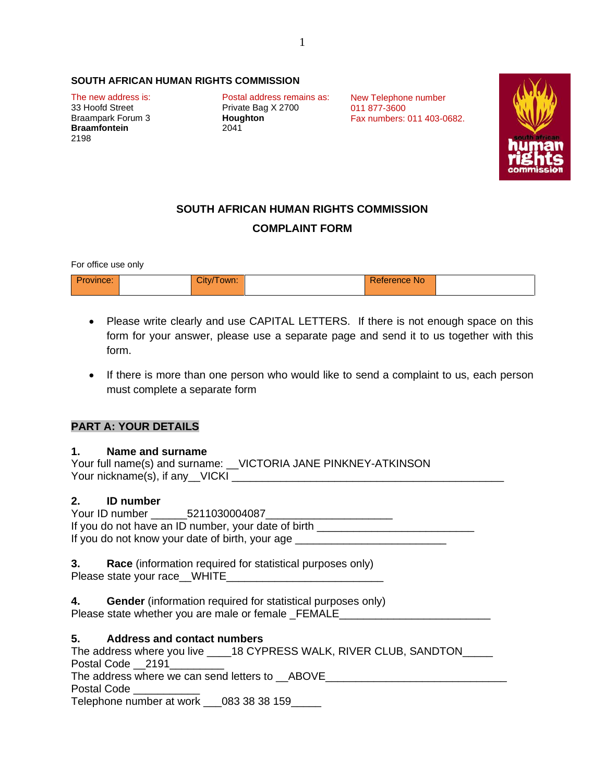### **SOUTH AFRICAN HUMAN RIGHTS COMMISSION**

**Braampark Forum 3 Braamfontein** 2041 2198

The new address is: Postal address remains as:<br>33 Hoofd Street Private Bag X 2700 Private Bag X 2700<br>**Houghton** 

New Telephone number 011 877-3600 Fax numbers: 011 403-0682.



# **SOUTH AFRICAN HUMAN RIGHTS COMMISSION COMPLAINT FORM**

For office use only

| <b>Province:</b> | — — —<br>City/Town: 7 | <b>Reference No</b> |  |
|------------------|-----------------------|---------------------|--|
|                  |                       |                     |  |

- Please write clearly and use CAPITAL LETTERS. If there is not enough space on this form for your answer, please use a separate page and send it to us together with this form.
- If there is more than one person who would like to send a complaint to us, each person must complete a separate form

# **PART A: YOUR DETAILS**

### **1. Name and surname**

|                                 | Your full name(s) and surname: __VICTORIA JANE PINKNEY-ATKINSON |
|---------------------------------|-----------------------------------------------------------------|
| Your nickname(s), if any__VICKI |                                                                 |

### **2. ID number**

| Your ID number                                  | 5211030004087                                       |
|-------------------------------------------------|-----------------------------------------------------|
|                                                 | If you do not have an ID number, your date of birth |
| If you do not know your date of birth, your age |                                                     |

**3. Race** (information required for statistical purposes only) Please state your race \_\_WHITE

| 4. | <b>Gender</b> (information required for statistical purposes only) |  |
|----|--------------------------------------------------------------------|--|
|    | Please state whether you are male or female _FEMALE_               |  |

### **5. Address and contact numbers**

The address where you live \_\_\_\_18 CYPRESS WALK, RIVER CLUB, SANDTON\_\_\_\_\_ Postal Code 2191 The address where we can send letters to  $\_\$  ABOVE \_\_\_\_\_\_\_\_\_\_\_\_\_\_\_\_\_\_\_\_\_\_\_\_\_\_\_\_ Postal Code Telephone number at work 083 38 38 159

1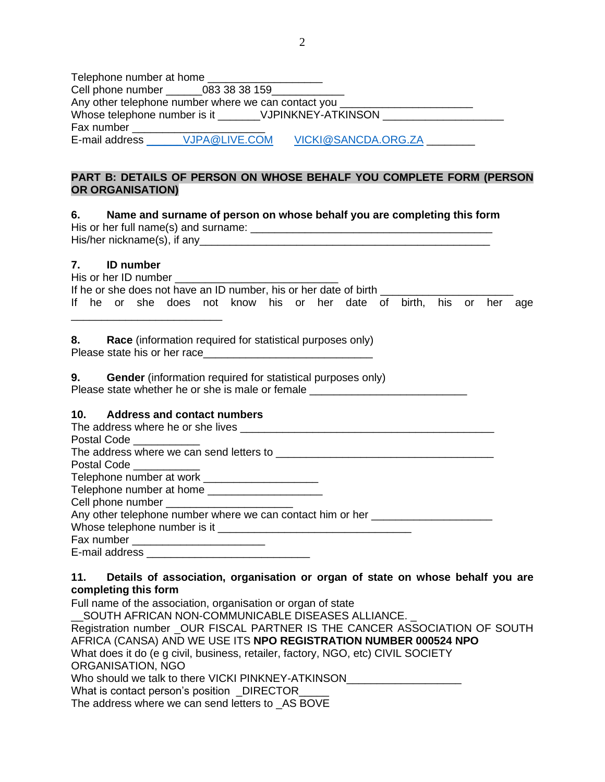| Telephone number at home |                                                      |                                                                                  |  |
|--------------------------|------------------------------------------------------|----------------------------------------------------------------------------------|--|
|                          | Cell phone number ________083 38 38 159_____________ |                                                                                  |  |
|                          |                                                      | Any other telephone number where we can contact you ____________________________ |  |
|                          | Whose telephone number is it VJPINKNEY-ATKINSON      |                                                                                  |  |
| Fax number               |                                                      |                                                                                  |  |
| E-mail address           | VJPA@LIVE.COM                                        | VICKI@SANCDA.ORG.ZA                                                              |  |

# **PART B: DETAILS OF PERSON ON WHOSE BEHALF YOU COMPLETE FORM (PERSON OR ORGANISATION)**

# **6. Name and surname of person on whose behalf you are completing this form**

| His or her full name(s) and surname: |  |
|--------------------------------------|--|
| His/her nickname(s), if any_         |  |

# **7. ID number**

|  | His or her ID number |  |                                                                     |  |  |  |  |  |
|--|----------------------|--|---------------------------------------------------------------------|--|--|--|--|--|
|  |                      |  | If he or she does not have an ID number, his or her date of birth   |  |  |  |  |  |
|  |                      |  | If he or she does not know his or her date of birth, his or her age |  |  |  |  |  |
|  |                      |  |                                                                     |  |  |  |  |  |

**8. Race** (information required for statistical purposes only) Please state his or her race

| 9. | <b>Gender</b> (information required for statistical purposes only) |
|----|--------------------------------------------------------------------|
|    | Please state whether he or she is male or female                   |

# **10. Address and contact numbers**

| Postal Code __________                                                           |
|----------------------------------------------------------------------------------|
|                                                                                  |
| Postal Code ___________                                                          |
| Telephone number at work ______________________                                  |
| Telephone number at home _____________________                                   |
|                                                                                  |
| Any other telephone number where we can contact him or her _____________________ |
|                                                                                  |
|                                                                                  |
|                                                                                  |

# **11. Details of association, organisation or organ of state on whose behalf you are completing this form**

Full name of the association, organisation or organ of state

\_\_SOUTH AFRICAN NON-COMMUNICABLE DISEASES ALLIANCE. \_ Registration number \_OUR FISCAL PARTNER IS THE CANCER ASSOCIATION OF SOUTH AFRICA (CANSA) AND WE USE ITS **NPO REGISTRATION NUMBER 000524 NPO** What does it do (e g civil, business, retailer, factory, NGO, etc) CIVIL SOCIETY ORGANISATION, NGO Who should we talk to there VICKI PINKNEY-ATKINSON\_ What is contact person's position DIRECTOR The address where we can send letters to \_AS BOVE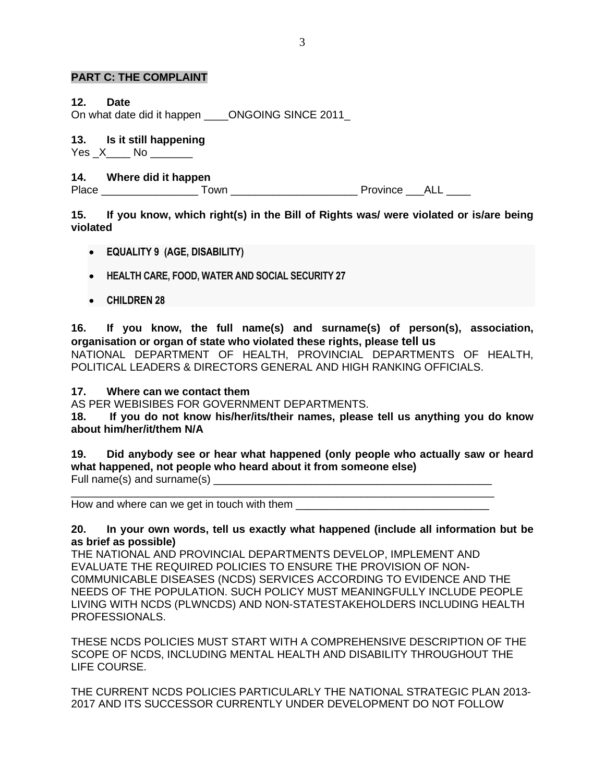## **PART C: THE COMPLAINT**

## **12. Date**

On what date did it happen **ONGOING SINCE 2011** 

### **13. Is it still happening**

Yes X No Yes X No

# **14. Where did it happen**

Place \_\_\_\_\_\_\_\_\_\_\_\_\_\_\_\_ Town \_\_\_\_\_\_\_\_\_\_\_\_\_\_\_\_\_\_\_\_\_ Province \_\_\_ALL \_\_\_\_

# **15. If you know, which right(s) in the Bill of Rights was/ were violated or is/are being violated**

- **EQUALITY 9 (AGE, DISABILITY)**
- **HEALTH CARE, FOOD, WATER AND SOCIAL SECURITY 27**
- **CHILDREN 28**

**16. If you know, the full name(s) and surname(s) of person(s), association, organisation or organ of state who violated these rights, please tell us**

NATIONAL DEPARTMENT OF HEALTH, PROVINCIAL DEPARTMENTS OF HEALTH, POLITICAL LEADERS & DIRECTORS GENERAL AND HIGH RANKING OFFICIALS.

## **17. Where can we contact them**

AS PER WEBISIBES FOR GOVERNMENT DEPARTMENTS.

**18. If you do not know his/her/its/their names, please tell us anything you do know about him/her/it/them N/A**

## **19. Did anybody see or hear what happened (only people who actually saw or heard what happened, not people who heard about it from someone else)**

Full name(s) and surname(s)

\_\_\_\_\_\_\_\_\_\_\_\_\_\_\_\_\_\_\_\_\_\_\_\_\_\_\_\_\_\_\_\_\_\_\_\_\_\_\_\_\_\_\_\_\_\_\_\_\_\_\_\_\_\_\_\_\_\_\_\_\_\_\_\_\_\_\_\_\_\_ How and where can we get in touch with them

## **20. In your own words, tell us exactly what happened (include all information but be as brief as possible)**

THE NATIONAL AND PROVINCIAL DEPARTMENTS DEVELOP, IMPLEMENT AND EVALUATE THE REQUIRED POLICIES TO ENSURE THE PROVISION OF NON-C0MMUNICABLE DISEASES (NCDS) SERVICES ACCORDING TO EVIDENCE AND THE NEEDS OF THE POPULATION. SUCH POLICY MUST MEANINGFULLY INCLUDE PEOPLE LIVING WITH NCDS (PLWNCDS) AND NON-STATESTAKEHOLDERS INCLUDING HEALTH PROFESSIONALS.

THESE NCDS POLICIES MUST START WITH A COMPREHENSIVE DESCRIPTION OF THE SCOPE OF NCDS, INCLUDING MENTAL HEALTH AND DISABILITY THROUGHOUT THE LIFE COURSE.

THE CURRENT NCDS POLICIES PARTICULARLY THE NATIONAL STRATEGIC PLAN 2013- 2017 AND ITS SUCCESSOR CURRENTLY UNDER DEVELOPMENT DO NOT FOLLOW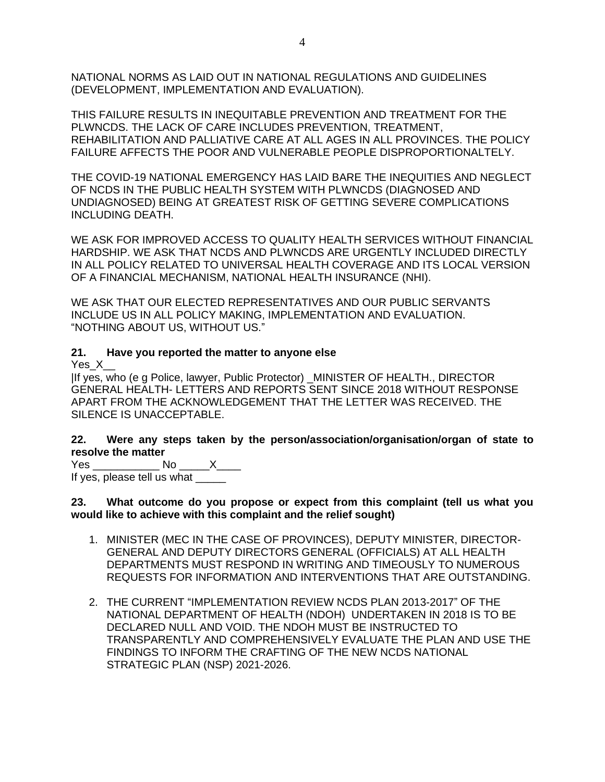NATIONAL NORMS AS LAID OUT IN NATIONAL REGULATIONS AND GUIDELINES (DEVELOPMENT, IMPLEMENTATION AND EVALUATION).

THIS FAILURE RESULTS IN INEQUITABLE PREVENTION AND TREATMENT FOR THE PLWNCDS. THE LACK OF CARE INCLUDES PREVENTION, TREATMENT, REHABILITATION AND PALLIATIVE CARE AT ALL AGES IN ALL PROVINCES. THE POLICY FAILURE AFFECTS THE POOR AND VULNERABLE PEOPLE DISPROPORTIONALTELY.

THE COVID-19 NATIONAL EMERGENCY HAS LAID BARE THE INEQUITIES AND NEGLECT OF NCDS IN THE PUBLIC HEALTH SYSTEM WITH PLWNCDS (DIAGNOSED AND UNDIAGNOSED) BEING AT GREATEST RISK OF GETTING SEVERE COMPLICATIONS INCLUDING DEATH.

WE ASK FOR IMPROVED ACCESS TO QUALITY HEALTH SERVICES WITHOUT FINANCIAL HARDSHIP. WE ASK THAT NCDS AND PLWNCDS ARE URGENTLY INCLUDED DIRECTLY IN ALL POLICY RELATED TO UNIVERSAL HEALTH COVERAGE AND ITS LOCAL VERSION OF A FINANCIAL MECHANISM, NATIONAL HEALTH INSURANCE (NHI).

WE ASK THAT OUR ELECTED REPRESENTATIVES AND OUR PUBLIC SERVANTS INCLUDE US IN ALL POLICY MAKING, IMPLEMENTATION AND EVALUATION. "NOTHING ABOUT US, WITHOUT US."

# **21. Have you reported the matter to anyone else**

Yes<sub>X</sub>

|If yes, who (e g Police, lawyer, Public Protector) \_MINISTER OF HEALTH., DIRECTOR GENERAL HEALTH- LETTERS AND REPORTS SENT SINCE 2018 WITHOUT RESPONSE APART FROM THE ACKNOWLEDGEMENT THAT THE LETTER WAS RECEIVED. THE SILENCE IS UNACCEPTABLE.

**22. Were any steps taken by the person/association/organisation/organ of state to resolve the matter**

Yes \_\_\_\_\_\_\_\_\_\_\_ No \_\_\_\_\_X\_\_\_\_ If yes, please tell us what \_\_\_\_\_

**23. What outcome do you propose or expect from this complaint (tell us what you would like to achieve with this complaint and the relief sought)**

- 1. MINISTER (MEC IN THE CASE OF PROVINCES), DEPUTY MINISTER, DIRECTOR-GENERAL AND DEPUTY DIRECTORS GENERAL (OFFICIALS) AT ALL HEALTH DEPARTMENTS MUST RESPOND IN WRITING AND TIMEOUSLY TO NUMEROUS REQUESTS FOR INFORMATION AND INTERVENTIONS THAT ARE OUTSTANDING.
- 2. THE CURRENT "IMPLEMENTATION REVIEW NCDS PLAN 2013-2017" OF THE NATIONAL DEPARTMENT OF HEALTH (NDOH) UNDERTAKEN IN 2018 IS TO BE DECLARED NULL AND VOID. THE NDOH MUST BE INSTRUCTED TO TRANSPARENTLY AND COMPREHENSIVELY EVALUATE THE PLAN AND USE THE FINDINGS TO INFORM THE CRAFTING OF THE NEW NCDS NATIONAL STRATEGIC PLAN (NSP) 2021-2026.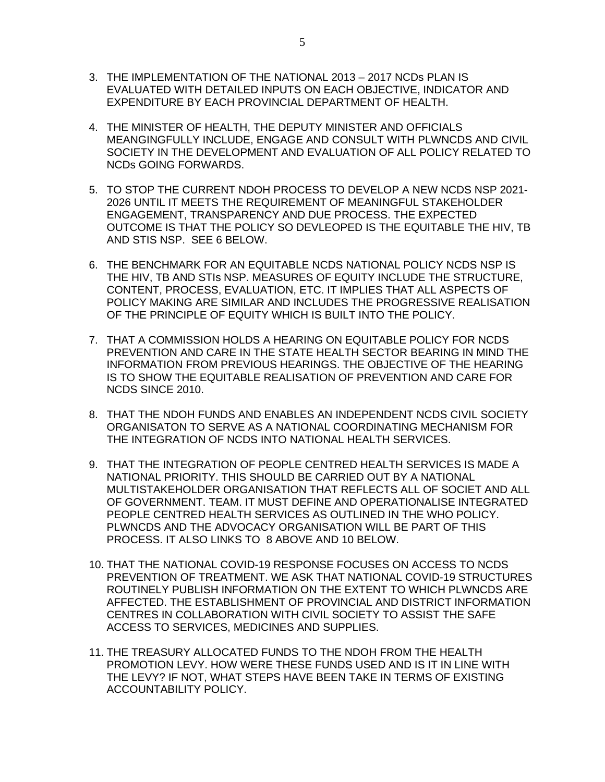- 3. THE IMPLEMENTATION OF THE NATIONAL 2013 2017 NCDs PLAN IS EVALUATED WITH DETAILED INPUTS ON EACH OBJECTIVE, INDICATOR AND EXPENDITURE BY EACH PROVINCIAL DEPARTMENT OF HEALTH.
- 4. THE MINISTER OF HEALTH, THE DEPUTY MINISTER AND OFFICIALS MEANGINGFULLY INCLUDE, ENGAGE AND CONSULT WITH PLWNCDS AND CIVIL SOCIETY IN THE DEVELOPMENT AND EVALUATION OF ALL POLICY RELATED TO NCDs GOING FORWARDS.
- 5. TO STOP THE CURRENT NDOH PROCESS TO DEVELOP A NEW NCDS NSP 2021- 2026 UNTIL IT MEETS THE REQUIREMENT OF MEANINGFUL STAKEHOLDER ENGAGEMENT, TRANSPARENCY AND DUE PROCESS. THE EXPECTED OUTCOME IS THAT THE POLICY SO DEVLEOPED IS THE EQUITABLE THE HIV, TB AND STIS NSP. SEE 6 BELOW.
- 6. THE BENCHMARK FOR AN EQUITABLE NCDS NATIONAL POLICY NCDS NSP IS THE HIV, TB AND STIs NSP. MEASURES OF EQUITY INCLUDE THE STRUCTURE, CONTENT, PROCESS, EVALUATION, ETC. IT IMPLIES THAT ALL ASPECTS OF POLICY MAKING ARE SIMILAR AND INCLUDES THE PROGRESSIVE REALISATION OF THE PRINCIPLE OF EQUITY WHICH IS BUILT INTO THE POLICY.
- 7. THAT A COMMISSION HOLDS A HEARING ON EQUITABLE POLICY FOR NCDS PREVENTION AND CARE IN THE STATE HEALTH SECTOR BEARING IN MIND THE INFORMATION FROM PREVIOUS HEARINGS. THE OBJECTIVE OF THE HEARING IS TO SHOW THE EQUITABLE REALISATION OF PREVENTION AND CARE FOR NCDS SINCE 2010.
- 8. THAT THE NDOH FUNDS AND ENABLES AN INDEPENDENT NCDS CIVIL SOCIETY ORGANISATON TO SERVE AS A NATIONAL COORDINATING MECHANISM FOR THE INTEGRATION OF NCDS INTO NATIONAL HEALTH SERVICES.
- 9. THAT THE INTEGRATION OF PEOPLE CENTRED HEALTH SERVICES IS MADE A NATIONAL PRIORITY. THIS SHOULD BE CARRIED OUT BY A NATIONAL MULTISTAKEHOLDER ORGANISATION THAT REFLECTS ALL OF SOCIET AND ALL OF GOVERNMENT. TEAM. IT MUST DEFINE AND OPERATIONALISE INTEGRATED PEOPLE CENTRED HEALTH SERVICES AS OUTLINED IN THE WHO POLICY. PLWNCDS AND THE ADVOCACY ORGANISATION WILL BE PART OF THIS PROCESS. IT ALSO LINKS TO 8 ABOVE AND 10 BELOW.
- 10. THAT THE NATIONAL COVID-19 RESPONSE FOCUSES ON ACCESS TO NCDS PREVENTION OF TREATMENT. WE ASK THAT NATIONAL COVID-19 STRUCTURES ROUTINELY PUBLISH INFORMATION ON THE EXTENT TO WHICH PLWNCDS ARE AFFECTED. THE ESTABLISHMENT OF PROVINCIAL AND DISTRICT INFORMATION CENTRES IN COLLABORATION WITH CIVIL SOCIETY TO ASSIST THE SAFE ACCESS TO SERVICES, MEDICINES AND SUPPLIES.
- 11. THE TREASURY ALLOCATED FUNDS TO THE NDOH FROM THE HEALTH PROMOTION LEVY. HOW WERE THESE FUNDS USED AND IS IT IN LINE WITH THE LEVY? IF NOT, WHAT STEPS HAVE BEEN TAKE IN TERMS OF EXISTING ACCOUNTABILITY POLICY.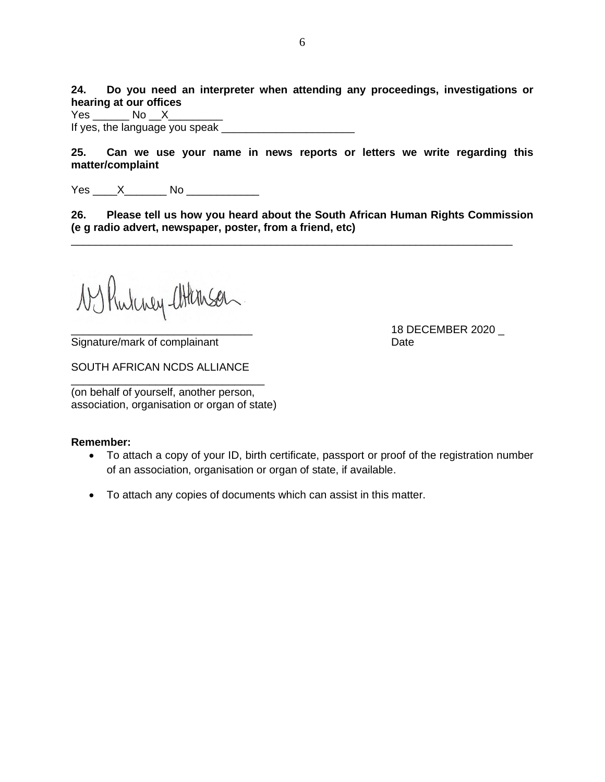**24. Do you need an interpreter when attending any proceedings, investigations or hearing at our offices**

Yes No X If yes, the language you speak

**25. Can we use your name in news reports or letters we write regarding this matter/complaint**

Yes \_\_\_\_\_ X\_\_\_\_\_\_\_\_ No \_\_\_\_\_\_\_\_\_\_\_\_\_

**26. Please tell us how you heard about the South African Human Rights Commission (e g radio advert, newspaper, poster, from a friend, etc)**

\_\_\_\_\_\_\_\_\_\_\_\_\_\_\_\_\_\_\_\_\_\_\_\_\_\_\_\_\_\_\_\_\_\_\_\_\_\_\_\_\_\_\_\_\_\_\_\_\_\_\_\_\_\_\_\_\_\_\_\_\_\_\_\_\_\_\_\_\_\_\_\_\_

1 Rulency attenson

Signature/mark of complainant Date

SOUTH AFRICAN NCDS ALLIANCE

\_\_\_\_\_\_\_\_\_\_\_\_\_\_\_\_\_\_\_\_\_\_\_\_\_\_\_\_\_\_\_\_

(on behalf of yourself, another person, association, organisation or organ of state)

### **Remember:**

- To attach a copy of your ID, birth certificate, passport or proof of the registration number of an association, organisation or organ of state, if available.
- To attach any copies of documents which can assist in this matter.

\_\_\_\_\_\_\_\_\_\_\_\_\_\_\_\_\_\_\_\_\_\_\_\_\_\_\_\_\_\_ 18 DECEMBER 2020 \_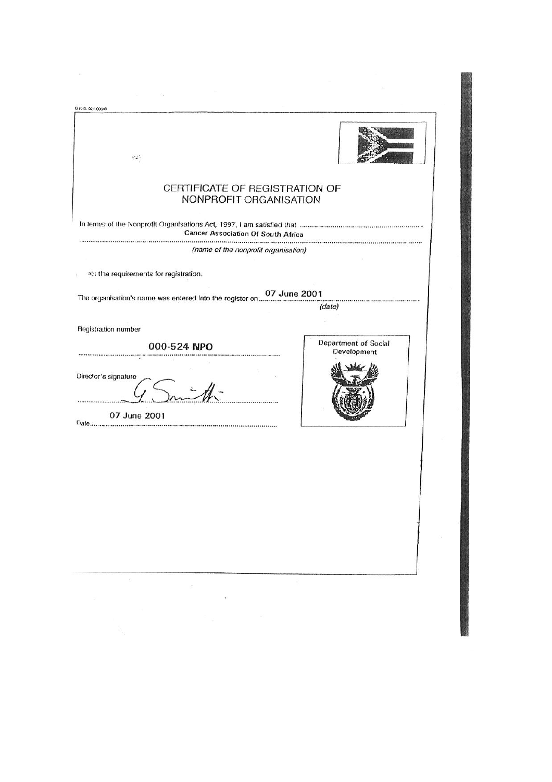| G.P.-S. 021-00048                                        |                                     |
|----------------------------------------------------------|-------------------------------------|
| $\mathcal{V}^{\bullet}$ .                                |                                     |
| CERTIFICATE OF REGISTRATION OF<br>NONPROFIT ORGANISATION |                                     |
| <b>Cancer Association Of South Africa</b>                |                                     |
| (name of the nonprofit organisation)                     |                                     |
| at; the requirements for registration.                   |                                     |
|                                                          |                                     |
|                                                          | (date)                              |
| Registration number                                      |                                     |
| 000-524 NPO                                              | Department of Social<br>Development |
| Director's signature                                     |                                     |
| 07 June 2001                                             |                                     |
|                                                          |                                     |
|                                                          |                                     |
| 窓<br>-8<br>$\mathcal{G}^{\pi}_{\mathcal{X}}$<br>¢,<br>¥. |                                     |
|                                                          |                                     |
|                                                          |                                     |